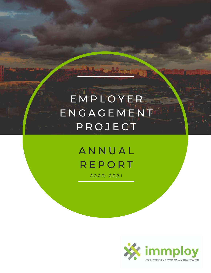# E M P L O Y E R E N G A G E M E N T **P R O J E C T**

## **ANNUAL REPORT** 2 0 2 0 - 2 0 2 1

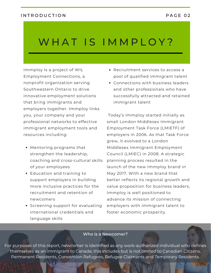#### INTRODUCTION PAGE 02

## WHAT IS IMMPLOY?

[Immploy](http://www.immploy.ca/) is a project of WIL Employment [Connections,](http://www.wil.ca/) a nonprofit organization serving Southwestern Ontario to drive innovative employment solutions that bring immigrants and employers together. Immploy links you, your company and your professional networks to effective immigrant employment tools and resources including:

- Mentoring programs that strengthen the leadership, coaching and cross-cultural skills of your employees
- Education and training to support employers in building more inclusive practices for the recruitment and retention of newcomers
- Screening support for evaluating international credentials and language skills
- Recruitment services to access a pool of qualified immigrant talent
- Connections with business leaders and other professionals who have successfully attracted and retained immigrant talent

Today's Immploy started initially as small London Middlesex Immigrant Employment Task Force (LMIETF) of employers in 2006. As that Task Force grew, it evolved to a London Middlesex Immigrant Employment Council (LMIEC) in 2008. A strategic planning process resulted in the launch of the new Immploy brand in May 2017. With a new brand that better reflects its regional growth and value proposition for business leaders, Immploy is well positioned to advance its mission of connecting employers with immigrant talent to foster economic prosperity.

#### Who is a Newcomer?

For purposes of this report, newcomer is identified as any work-authorized individual who defines themselves as an immigrant to Canada; this includes but is not limited to Canadian Citizens, Permanent Residents, Convention Refugees, Refugee Claimants and Temporary Residents.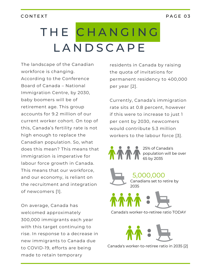#### CONTEXT PAGE 03

# T H E C H A N G I N G **LANDSCAPE**

The landscape of the Canadian workforce is changing. According to the Conference Board of Canada – National [Immigration](http://www.immploy.ca/) Centre, by 2030, baby boomers will be of retirement age. This group accounts for 9.2 million of our current worker cohort. On top of this, Canada's fertility rate is not high enough to replace the Canadian population. So, what does this mean? This means that [immigration](http://www.immploy.ca/) is imperative for labour force growth in Canada. This means that our workforce, and our economy, is reliant on the recruitment and integration of newcomers [1].

On average, Canada has welcomed approximately 300,000 immigrants each year with this target continuing to rise. In response to a decrease in new immigrants to Canada due to COVID-19, efforts are being made to retain temporary

residents in Canada by raising the quota of invitations for permanent residency to 400,000 per year [2].

Currently, Canada's immigration rate sits at 0.8 percent, however if this were to increase to just 1 per cent by 2030, newcomers would contribute 5.3 million workers to the labour force [3].



25% of Canada's population will be over 65 by 2035



5,000,000 Canadians set to retire by 2035



Canada's worker-to-retiree ratio TODAY



Canada's worker-to-retiree ratio in 2035 [2]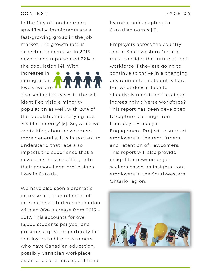#### CONTEXT PAGE 04

In the City of London more specifically, immigrants are a fast-growing group in the job market. The growth rate is expected to increase. In 2016, newcomers represented 22% of the population [4]. With

increases in immigration **/** levels, we are



also seeing increases in the selfidentified visible minority population as well, with 20% of the population identifying as a 'visible minority' [5]. So, while we are talking about newcomers more generally, it is important to understand that race also impacts the experience that a newcomer has in settling into their personal and professional lives in Canada.

We have also seen a dramatic increase in the enrollment of international students in London with an 86% increase from 2013 – 2017. This accounts for over 15,000 students per year and presents a great opportunity for employers to hire newcomers who have Canadian education, possibly Canadian workplace experience and have spent time

learning and adapting to Canadian norms [6].

Employers across the country and in Southwestern Ontario must consider the future of their workforce if they are going to continue to thrive in a changing environment. The talent is here, but what does it take to effectively recruit and retain an increasingly diverse workforce? This report has been developed to capture learnings from Immploy's Employer Engagement Project to support employers in the recruitment and retention of newcomers. This report will also provide insight for newcomer job seekers based on insights from employers in the Southwestern Ontario region.

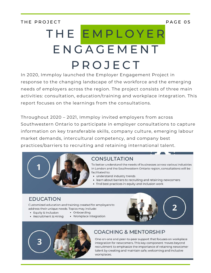THE PROJECT PAGE OF

# T H E E M P L O Y E R **ENGAGEMENT** P R O J E C T

[In](http://www.immploy.ca/) 2020, Immploy launched the Employer [Engagement](http://www.immploy.ca/) Project in response to the changing landscape of the workforce and the emerging needs of employers across the region. The project consists of three main activities: consultation, [education/training](http://www.immploy.ca/) and workplace integration. This report focuses on the learnings from the consultations.

Throughout 2020 – 2021, Immploy invited employers from across Southwestern Ontario to participate in employer consultations to capture information on key transferable skills, company culture, emerging labour market demands, intercultural competency, and company best practices/barriers to recruiting and retaining international talent.



## **CONSULTATION**

To better understand the needs of businesses across various industries in London and the Southwestern Ontario region, consultations will be facilitated to:

- understand industry trends
- learn about barriers to recruiting and retaining newcomers
- find best practices in equity and inclusion work

## **EDUCATION**

Customized education and training created for employers to address their unique needs. Topics may include:

- Equity & Inclusion
- Recruitment & Hiring
- Onboarding • Workplace Integration





## **COACHING & MENTORSHIP**

One-on-one and peer-to-peer support that focuses on workplace integration for newcomers. This key component moves beyond recruitment to emphasize the importance of retaining newcomer talent by creating and maintain safe, welcoming and inclusive workplaces.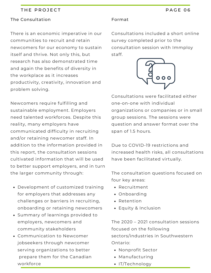#### THE PROJECT PAGE OF THE PROJECT

#### [The](http://www.immploy.ca/) [Consultation](http://www.immploy.ca/)

There is an economic imperative in our communities to recruit and retain newcomers for our economy to sustain itself and thrive. Not only this, but research has also [demonstrated](http://www.immploy.ca/) time and again the benefits of diversity in the workplace as it increases productivity, creativity, innovation and problem solving.

Newcomers require fulfilling and sustainable employment. Employers need talented workforces. Despite this reality, many employers have [communicated](http://www.immploy.ca/) difficulty in recruiting and/or retaining newcomer staff. In addition to the information provided in this report, the [consultation](http://www.immploy.ca/) sessions cultivated information that will be used to better support employers, and in turn the larger community through:

- [Development](http://www.immploy.ca/) of customized training for employers that addresses any challenges or barriers in recruiting, onboarding or retaining newcomers
- Summary of learnings provided to employers, newcomers and community [stakeholders](http://www.immploy.ca/)
- [Communication](http://www.immploy.ca/) to Newcomer jobseekers through newcomer serving organizations to [better](http://www.immploy.ca/) prepare them for the Canadian [workforce](http://www.immploy.ca/)

#### [Format](http://www.immploy.ca/)

[Consultations](http://www.immploy.ca/) included a short online survey completed prior to the consultation session with Immploy staff.



[Consultations](http://www.immploy.ca/) were facilitated either one-on-one with individual organizations or companies or in small group sessions. The sessions were question and answer format over the span of 1.5 hours.

Due to COVID-19 restrictions and increased health risks, all [consultations](http://www.immploy.ca/) have been facilitated virtually.

The [consultation](http://www.immploy.ca/) questions focused on four key areas:

- [Recruitment](http://www.immploy.ca/)
- [Onboarding](http://www.immploy.ca/)
- [Retention](http://www.immploy.ca/)
- Equity & [Inclusion](http://www.immploy.ca/)

The 2020 – 2021 consultation sessions focused on the following [sectors/industries](http://www.immploy.ca/) in Southwestern Ontario:

- [Nonprofit](http://www.immploy.ca/) Sector
- [Manufacturing](http://www.immploy.ca/)
- [IT/Technology](http://www.immploy.ca/)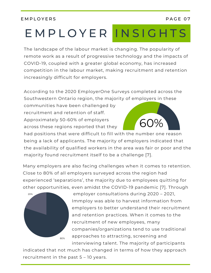#### E M P L O Y E R S P A G E 0 7

# E M P L O Y E R IN S I G H T S

The landscape of the labour market is changing. The popularity of remote work as a result of progressive technology and the impacts of COVID-19, coupled with a greater global economy, has increased [competition](http://www.immploy.ca/) in the labour market, making recruitment and retention increasingly difficult for employers.

According to the 2020 EmployerOne Surveys completed across the [Southwestern](http://www.immploy.ca/) Ontario region, the majority of employers in these

communities have been challenged by [recruitment](http://www.immploy.ca/) and retention of staff. [Approximately](http://www.immploy.ca/) 50-60% of [employers](http://www.immploy.ca/) across these regions [reported](http://www.immploy.ca/) that they



had positions that were difficult to fill with the number one reason being a lack of applicants. The majority of employers indicated that the availability of qualified workers in the area was fair or poor and the majority found [recruitment](http://www.immploy.ca/) itself to be a challenge [7].

Many employers are also facing challenges when it comes to retention. Close to 80% of all employers surveyed across the region had experienced 'separations', the majority due to employees quitting for other opportunities, even amidst the COVID-19 pandemic [7]. Through



employer consultations during 2020 – 2021, Immploy was able to harvest information from employers to better understand their recruitment and retention practices. When it comes to the recruitment of new employees, many companies/organizations tend to use traditional approaches to attracting, screening and interviewing talent. The majority of participants

indicated that not much has changed in terms of how they approach recruitment in the past 5 – 10 years.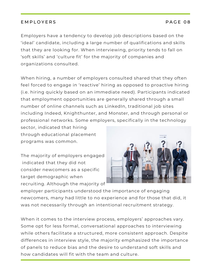## E M P LO Y E R S PAGE O 8

Employers have a tendency to develop job descriptions based on the 'ideal' candidate, including a large number of qualifications and skills that they are looking for. When interviewing, priority tends to fall on 'soft skills' and 'culture fit' for the majority of companies and organizations consulted.

When hiring, a number of employers consulted shared that they often feel forced to engage in 'reactive' hiring as opposed to proactive hiring (i.e. hiring quickly based on an immediate need). Participants indicated that employment opportunities are generally shared through a small number of online channels such as LinkedIn, traditional job sites including Indeed, Knighthunter, and Monster, and through personal or professional networks. Some employers, specifically in the technology

sector, indicated that hiring through educational placement programs was common.

The majority of employers engaged indicated that they did not consider newcomers as a specific target demographic when recruiting. Although the majority of



employer participants understood the importance of engaging newcomers, many had little to no experience and for those that did, it was not necessarily through an intentional recruitment strategy.

When it comes to the interview process, employers' approaches vary. Some opt for less formal, conversational approaches to interviewing while others facilitate a structured, more consistent approach. Despite differences in interview style, the majority emphasized the importance of panels to reduce bias and the desire to understand soft skills and how candidates will fit with the team and culture.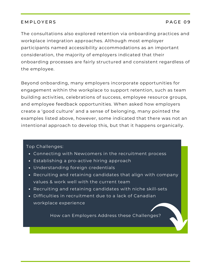#### E M P LO Y E R S PAGE O 9

The consultations also explored retention via onboarding practices and workplace integration approaches. Although most employer participants named accessibility accommodations as an important consideration, the majority of employers indicated that their onboarding processes are fairly structured and consistent regardless of the employee.

Beyond onboarding, many employers incorporate opportunities for engagement within the workplace to support retention, such as team building activities, celebrations of success, employee resource groups, and employee feedback opportunities. When asked how employers create a 'good culture' and a sense of belonging, many pointed the examples listed above, however, some indicated that there was not an intentional approach to develop this, but that it happens organically.

#### Top Challenges:

- Connecting with Newcomers in the recruitment process
- Establishing a pro-active hiring approach
- Understanding foreign credentials
- Recruiting and retaining candidates that align with company values & work well with the current team
- Recruiting and retaining candidates with niche skill-sets
- Difficulties in recruitment due to a lack of Canadian workplace experience

How can Employers Address these Challenges?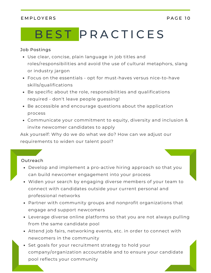## E M P L O Y E R S P A G E 10

# B E ST P R A C T I C E S

#### Job Postings

- Use clear, concise, plain language in job titles and roles/responsibilities and avoid the use of cultural metaphors, slang or industry jargon
- Focus on the essentials opt for must-haves versus nice-to-have skills/qualifications
- Be specific about the role, responsibilities and qualifications required - don't leave people guessing!
- Be accessible and encourage questions about the application process
- Communicate your commitment to equity, diversity and inclusion & invite newcomer candidates to apply

Ask yourself: Why do we do what we do? How can we adjust our requirements to widen our talent pool?

#### Outreach

- Develop and implement a pro-active hiring approach so that you can build newcomer engagement into your process
- Widen your search by engaging diverse members of your team to connect with candidates outside your current personal and professional networks
- Partner with community groups and nonprofit organizations that engage and support newcomers
- Leverage diverse online platforms so that you are not always pulling from the same candidate pool
- Attend job fairs, networking events, etc. in order to connect with newcomers in the community
- Set goals for your recruitment strategy to hold your company/organization accountable and to ensure your candidate pool reflects your community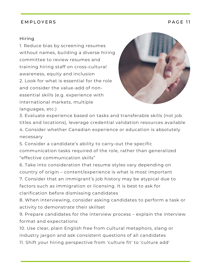#### E M P LO Y E R S P A G E 11

#### Hiring

1. Reduce bias by screening resumes without names, building a diverse hiring committee to review resumes and training hiring staff on cross-cultural awareness, equity and inclusion 2. Look for what is essential for the role and consider the value-add of nonessential skills (e.g. experience with international markets, multiple languages, etc.)



3. Evaluate experience based on tasks and transferable skills (not job titles and locations), leverage credential validation resources available 4. Consider whether Canadian experience or education is absolutely necessary

5. Consider a candidate's ability to carry-out the specific communication tasks required of the role, rather than generalized "effective communication skills"

6. Take into consideration that resume styles vary depending on country of origin – content/experience is what is most important

7. Consider that an immigrant's job history may be atypical due to factors such as immigration or licensing. It is best to ask for clarification before dismissing candidates

8. When interviewing, consider asking candidates to perform a task or activity to demonstrate their skillset

9. Prepare candidates for the interview process – explain the interview format and expectations

10. Use clear, plain English free from cultural metaphors, slang or industry jargon and ask consistent questions of all candidates

11. Shift your hiring perspective from 'culture fit' to 'culture add'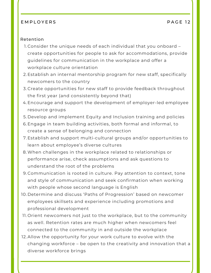#### E M P LO Y E R S P A G E 12

#### Retention

- Consider the unique needs of each individual that you onboard 1. create opportunities for people to ask for accommodations, provide guidelines for communication in the workplace and offer a workplace culture orientation
- Establish an internal mentorship program for new staff, specifically 2. newcomers to the country
- 3.Create opportunities for new staff to provide feedback throughout the first year (and consistently beyond that)
- Encourage and support the development of employer-led employee 4. resource groups
- 5.Develop and implement Equity and Inclusion training and policies
- Engage in team building activities, both formal and informal, to 6. create a sense of belonging and connection
- Establish and support multi-cultural groups and/or opportunities to 7. learn about employee's diverse cultures
- When challenges in the workplace related to relationships or 8. performance arise, check assumptions and ask questions to understand the root of the problems
- Communication is rooted in culture. Pay attention to context, tone 9. and style of communication and seek confirmation when working with people whose second language is English
- 10. Determine and discuss 'Paths of Progression' based on newcomer employees skillsets and experience including promotions and professional development
- 11.Orient newcomers not just to the workplace, but to the community as well. Retention rates are much higher when newcomers feel connected to the community in and outside the workplace
- 12.Allow the opportunity for your work culture to evolve with the changing workforce – be open to the creativity and innovation that a diverse workforce brings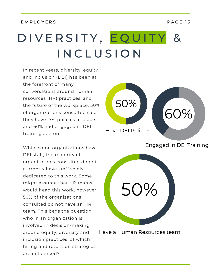#### E M P LO Y E R S P A G E 13

# D I V E R S I T Y, E Q U I T Y & I N C L U S I O N

In [rece](http://www.immploy.ca/)nt years, diversity, equity and inclusion (DEI) has been at the forefront of many [conversations](http://www.immploy.ca/) around human resources (HR) practices, and the future of the workplace. 50% of organizations consulted said they have DEI policies in place and 60% had engaged in DEI trainings befor[e.](http://www.immploy.ca/)

While some organizations have DEI staff, the majority of organizations consulted do not currently have staff solely dedicated to this work. Some might assume that HR teams would head this work, however, 50% of the organizations consulted do not have an HR team. This begs the question, who in an organization is involved in [decision-making](http://www.immploy.ca/) around equity, diversity and inclusion practices, of which hiring and retention strategies are influenced?



Engaged in DEI Training



Have a Human Resources team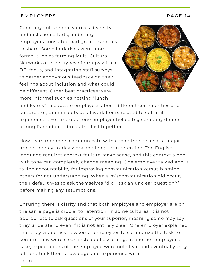#### E M P LO Y E R S PAGE 14

Company culture really drives diversity and inclusion efforts, and many employers consulted had great examples to share. Some initiatives were more formal such as forming Multi-Cultural Networks or other types of groups with a DEI focus, and integrating staff surveys to gather anonymous feedback on their feelings about inclusion and what could be different. Other best practices were more informal such as hosting "lunch



and learns" to educate employees about different communities and cultures, or, dinners outside of work hours related to cultural experiences. For example, one employer held a big company dinner during Ramadan to break the fast together.

How team members communicate with each other also has a major impact on day-to-day work and long-term retention. The English language requires context for it to make sense, and this context along with tone can completely change meaning. One employer talked about taking accountability for improving communication versus blaming others for not understanding. When a miscommunication did occur, their default was to ask themselves "did I ask an unclear question?" before making any assumptions.

Ensuring there is clarity and that both employee and employer are on the same page is crucial to retention. In some cultures, it is not appropriate to ask questions of your superior, meaning some may say they understand even if it is not entirely clear. One employer explained that they would ask newcomer employees to summarize the task to confirm they were clear, instead of assuming. In another employer's case, expectations of the employee were not clear, and eventually they left and took their knowledge and experience with them.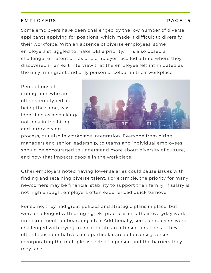## E M P L O Y E R S P A G E 15

Some employers have been challenged by the low number of diverse applicants applying for positions, which made it difficult to diversify their workforce. With an absence of diverse employees, some employers struggled to make DEI a priority. This also posed a challenge for retention, as one employer recalled a time where they discovered in an exit interview that the employee felt intimidated as the only immigrant and only person of colour in their workplace.

Perceptions of immigrants who are often stereotyped as being the same, was identified as a challenge not only in the hiring and interviewing



process, but also in workplace integration. Everyone from hiring managers and senior leadership, to teams and individual employees should be encouraged to understand more about diversity of culture, and how that impacts people in the workplace.

Other employers noted having lower salaries could cause issues with finding and retaining diverse talent. For example, the priority for many newcomers may be financial stability to support their family. If salary is not high enough, employers often experienced quick turnover.

For some, they had great policies and strategic plans in place, but were challenged with bringing DEI practices into their everyday work (in recruitment , onboarding, etc.). Additionally, some employers were challenged with trying to incorporate an intersectional lens – they often focused initiatives on a particular area of diversity versus incorporating the multiple aspects of a person and the barriers they may face.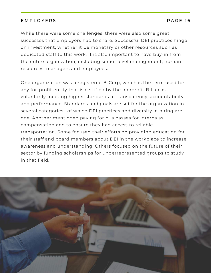#### E M P L O Y E R S P A G E 16

While there were some challenges, there were also some great successes that employers had to share. Successful DEI practices hinge on investment, whether it be monetary or other resources such as dedicated staff to this work. It is also important to have buy-in from the entire organization, including senior level management, human resources, managers and employees.

One organization was a registered B-Corp, which is the term used for any for-profit entity that is certified by the nonprofit B Lab as voluntarily meeting higher standards of transparency, accountability, and performance. Standards and goals are set for the organization in several categories, of which DEI practices and diversity in hiring are one. Another mentioned paying for bus passes for interns as compensation and to ensure they had access to reliable transportation. Some focused their efforts on providing education for their staff and board members about DEI in the workplace to increase awareness and understanding. Others focused on the future of their sector by funding scholarships for underrepresented groups to study in that field.

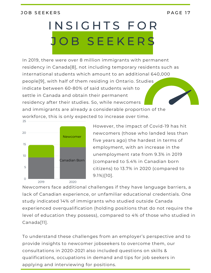#### JOB SEEKERS PAGE 17

# INSIGHTS FOR O B S E E K E R S

In 2019, there were over 8 million immigrants with permanent residency in Canada[8], not including temporary residents such as international students which amount to an additional 640,000 people[9], with half of them residing in Ontario. Studies indicate between 60-80% of said students wish to settle in Canada and obtain their permanent residency after their studies. So, while newcomers and immigrants are already a considerable proportion of the workforce, this is only expected to increase over time. 25



However, the impact of Covid-19 has hit newcomers (those who landed less than five years ago) the hardest in terms of employment, with an increase in the unemployment rate from 9.3% in 2019 (compared to 5.4% in Canadian born citizens) to 13.7% in 2020 (compared to 9.1%)[10].

Newcomers face additional challenges if they have language barriers, a lack of Canadian experience, or unfamiliar educational credentials. One study indicated 14% of immigrants who studied outside Canada experienced overqualification (holding positions that do not require the level of education they possess), compared to 4% of those who studied in Canada[11].

To understand these challenges from an employer's perspective and to provide insights to newcomer jobseekers to overcome them, our consultations in 2020-2021 also included questions on skills & qualifications, occupations in demand and tips for job seekers in applying and interviewing for positions.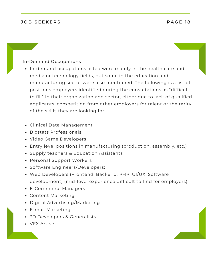#### JOB SEEKERS PAGE 18

#### In-Demand Occupations

- In-demand occupations listed were mainly in the health care and media or technology fields, but some in the education and manufacturing sector were also mentioned. The following is a list of positions employers identified during the consultations as "difficult to fill" in their organization and sector, either due to lack of qualified applicants, competition from other employers for talent or the rarity of the skills they are looking for.
- Clinical Data Management
- Biostats Professionals
- Video Game Developers
- Entry level positions in manufacturing (production, assembly, etc.)
- Supply teachers & Education Assistants
- Personal Support Workers
- Software Engineers/Developers:
- Web Developers (Frontend, Backend, PHP, UI/UX, Software development) (mid-level experience difficult to find for employers)
- E-Commerce Managers
- Content Marketing
- Digital Advertising/Marketing
- E-mail Marketing
- 3D Developers & Generalists
- VFX Artists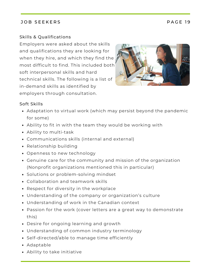## JOB SEEKERS PACE 19

## Skills & Qualifications

Employers were asked about the skills and qualifications they are looking for when they hire, and which they find the most difficult to find. This included both soft interpersonal skills and hard technical skills. The following is a list of in-demand skills as identified by employers through consultation.



#### Soft Skills

- Adaptation to virtual work (which may persist beyond the pandemic for some)
- Ability to fit in with the team they would be working with
- Ability to multi-task
- Communications skills (internal and external)
- Relationship building
- Openness to new technology
- Genuine care for the community and mission of the organization (Nonprofit organizations mentioned this in particular)
- Solutions or problem-solving mindset
- Collaboration and teamwork skills
- Respect for diversity in the workplace
- Understanding of the company or organization's culture
- Understanding of work in the Canadian context
- Passion for the work (cover letters are a great way to demonstrate this)
- Desire for ongoing learning and growth
- Understanding of common industry terminology
- Self-directed/able to manage time efficiently
- Adaptable
- Ability to take initiative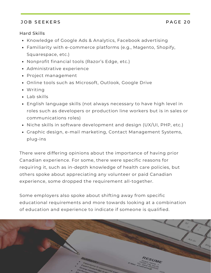## JOB SEEKERS PACE 20

#### Hard Skills

- Knowledge of Google Ads & Analytics, Facebook advertising
- Familiarity with e-commerce platforms (e.g., Magento, Shopify, Squarespace, etc.)
- Nonprofit financial tools (Razor's Edge, etc.)
- Administrative experience
- Project management
- Online tools such as Microsoft, Outlook, Google Drive
- Writing
- Lab skills
- English language skills (not always necessary to have high level in roles such as developers or production line workers but is in sales or communications roles)
- Niche skills in software development and design (UX/UI, PHP, etc.)
- Graphic design, e-mail marketing, Contact Management Systems, plug-ins

There were differing opinions about the importance of having prior Canadian experience. For some, there were specific reasons for requiring it, such as in-depth knowledge of health care policies, but others spoke about appreciating any volunteer or paid Canadian experience, some dropped the requirement all-together.

Some employers also spoke about shifting away from specific educational requirements and more towards looking at a combination of education and experience to indicate if someone is qualified.

 $4$ / $\epsilon$  Gr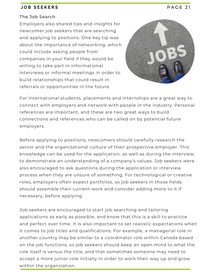#### **J O B S E E K E R S** P A G E 2 1

#### The Job Search

Employers also shared tips and insights for newcomer job seekers that are searching and applying to positions. One key tip was about the importance of networking, which could include asking people from companies in your field if they would be willing to take part in informational interviews or informal meetings in order to build relationships that could result in referrals or opportunities in the future.



For international students, placements and internships are a great way to connect with employers and network with people in the industry. Personal references are important, and these are two great ways to build connections and references who can be called on by potential future employers.

Before applying to positions, newcomers should carefully research the sector and the organizational culture of their prospective employer. This knowledge can be used for the application, as well as during the interview, to demonstrate an understanding of a company's values. Job seekers were also encouraged to ask questions during the application or interview process when they are unsure of something. For technological or creative roles, employers often expect portfolios, so job seekers in those fields should assemble their current work and consider adding more to it if necessary, before applying.

Job seekers are encouraged to start job searching and tailoring applications as early as possible, and know that this is a skill to practice and perfect over time. It is also important to set realistic expectations when it comes to job titles and qualifications. For example, a managerial role in another country may be similar to a coordinator role within Canada based on the job functions, so job seekers should keep an open mind to what the role itself is versus the title, and that sometimes someone may need to accept a more junior role initially in order to work their way up and grow within the organization.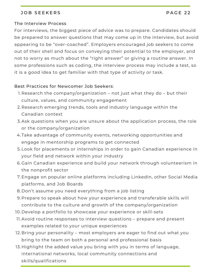#### JOB SEEKERS PAGE 22

#### The Interview Process

For interviews, the biggest piece of advice was to prepare. Candidates should be prepared to answer questions that may come up in the interview, but avoid appearing to be "over-coached". Employers encouraged job seekers to come out of their shell and focus on conveying their potential to the employer, and not to worry as much about the "right answer" or giving a routine answer. In some professions such as coding, the interview process may include a test, so it is a good idea to get familiar with that type of activity or task.

#### Best Practices for Newcomer Job Seekers:

- 1.Research the company/organization not just what they do but their culture, values, and community engagement
- 2.Research emerging trends, tools and industry language within the Canadian context
- 3. Ask questions when you are unsure about the application process, the role or the company/organization
- Take advantage of community events, networking opportunities and 4. engage in mentorship programs to get connected
- 5.Look for placements or internships in order to gain Canadian experience in your field and network within your industry
- 6.Gain Canadian experience and build your network through volunteerism in the nonprofit sector
- 7.Engage on popular online platforms including LinkedIn, other Social Media platforms, and Job Boards
- 8.Don't assume you need everything from a job listing
- Prepare to speak about how your experience and transferable skills will 9. contribute to the culture and growth of the company/organization
- 10. Develop a portfolio to showcase your experience or skill-sets
- 11. Avoid routine responses to interview questions prepare and present examples related to your unique experiences
- 12.Bring your personality most employers are eager to find out what you bring to the team on both a personal and professional basis
- 13.Highlight the added value you bring with you in terms of language, international networks, local community connections and skills/qualifications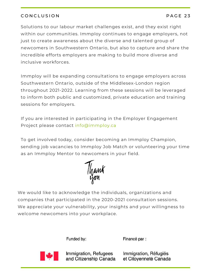## CONCLUSION PAGE 23

Solutions to our labour market challenges exist, and they exist right within our communities. Immploy continues to engage employers, not just to create awareness about the diverse and talented group of newcomers in Southwestern Ontario, but also to capture and share the incredible efforts employers are making to build more diverse and inclusive workforces.

Immploy will be expanding consultations to engage employers across Southwestern Ontario, outside of the Middlesex-London region throughout 2021-2022. Learning from these sessions will be leveraged to inform both public and customized, private education and training sessions for employers.

If you are interested in participating in the Employer Engagement Project please contact info@immploy.ca

To get involved today, consider becoming an Immploy Champion, sending job vacancies to Immploy Job Match or volunteering your time as an Immploy Mentor to newcomers in your field.

Thank

We would like to acknowledge the individuals, organizations and companies that participated in the 2020-2021 consultation sessions. We appreciate your vulnerability, your insights and your willingness to welcome newcomers into your workplace.

Funded by:

Financé par :



Immigration, Refugees and Citizenship Canada

Immigration, Réfugiés et Citoyenneté Canada